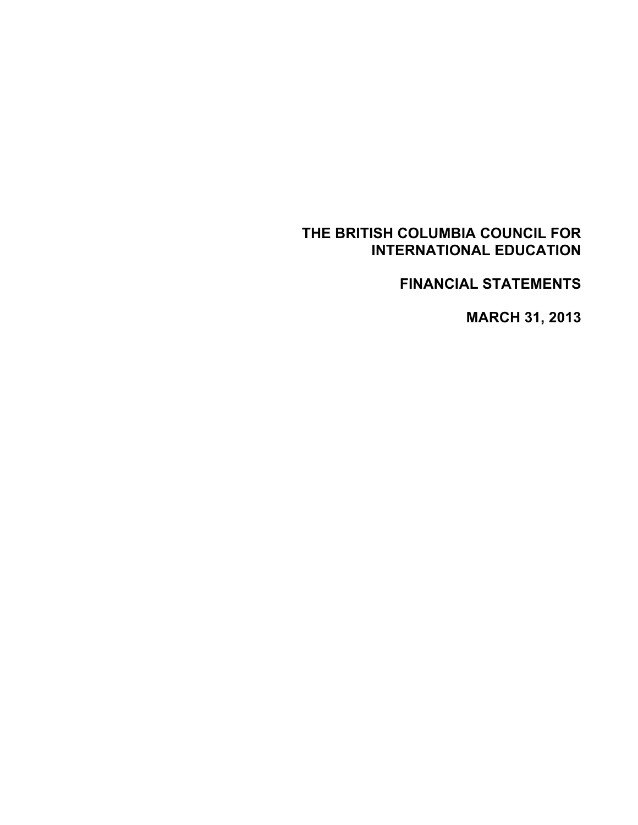**FINANCIAL STATEMENTS** 

**MARCH 31, 2013**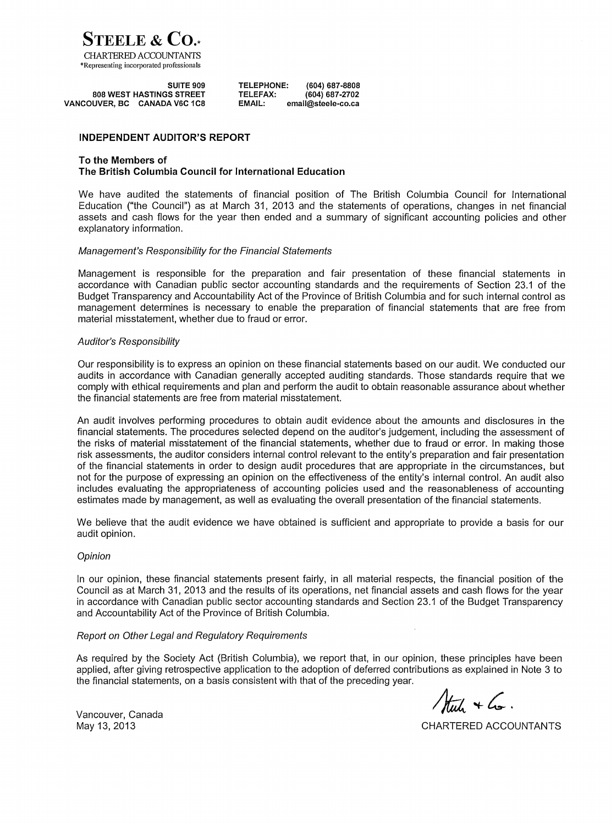

|                      | SUITE 909                       | TELEPHONE:      | $(604) 687 - 8808$ |
|----------------------|---------------------------------|-----------------|--------------------|
|                      | <b>808 WEST HASTINGS STREET</b> | <b>TELEFAX:</b> | $(604) 687 - 2702$ |
| <b>VANCOUVER, BC</b> | CANADA V6C 1C8                  | EMAIL:          | email@steele-co.ca |

#### **INDEPENDENT AUDITOR'S REPORT**

#### To the Members of The British Columbia Council for International Education

We have audited the statements of financial position of The British Columbia Council for International Education ("the Council") as at March 31, 2013 and the statements of operations, changes in net financial assets and cash flows for the year then ended and a summary of significant accounting policies and other explanatory information.

#### Management's Responsibility for the Financial Statements

Management is responsible for the preparation and fair presentation of these financial statements in accordance with Canadian public sector accounting standards and the requirements of Section 23.1 of the Budget Transparency and Accountability Act of the Province of British Columbia and for such internal control as management determines is necessary to enable the preparation of financial statements that are free from material misstatement, whether due to fraud or error.

#### **Auditor's Responsibility**

Our responsibility is to express an opinion on these financial statements based on our audit. We conducted our audits in accordance with Canadian generally accepted auditing standards. Those standards require that we comply with ethical requirements and plan and perform the audit to obtain reasonable assurance about whether the financial statements are free from material misstatement.

An audit involves performing procedures to obtain audit evidence about the amounts and disclosures in the financial statements. The procedures selected depend on the auditor's judgement, including the assessment of the risks of material misstatement of the financial statements, whether due to fraud or error. In making those risk assessments, the auditor considers internal control relevant to the entity's preparation and fair presentation of the financial statements in order to design audit procedures that are appropriate in the circumstances, but not for the purpose of expressing an opinion on the effectiveness of the entity's internal control. An audit also includes evaluating the appropriateness of accounting policies used and the reasonableness of accounting estimates made by management, as well as evaluating the overall presentation of the financial statements.

We believe that the audit evidence we have obtained is sufficient and appropriate to provide a basis for our audit opinion.

#### Opinion

In our opinion, these financial statements present fairly, in all material respects, the financial position of the Council as at March 31, 2013 and the results of its operations, net financial assets and cash flows for the year in accordance with Canadian public sector accounting standards and Section 23.1 of the Budget Transparency and Accountability Act of the Province of British Columbia.

#### Report on Other Legal and Regulatory Reguirements

As required by the Society Act (British Columbia), we report that, in our opinion, these principles have been applied, after giving retrospective application to the adoption of deferred contributions as explained in Note 3 to the financial statements, on a basis consistent with that of the preceding year.

Auch + Co.

Vancouver, Canada May 13, 2013

CHARTERED ACCOUNTANTS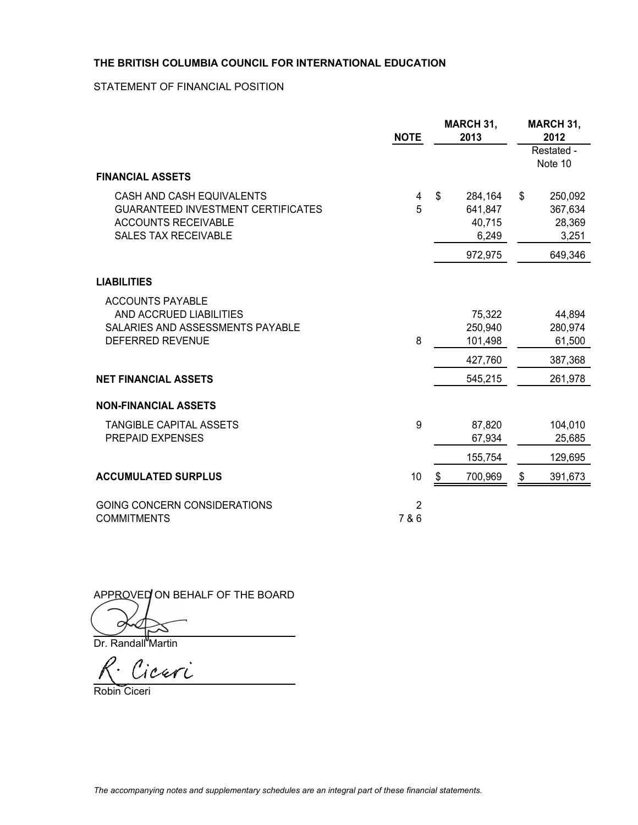STATEMENT OF FINANCIAL POSITION

|                                                                                                                                     | <b>NOTE</b>             | <b>MARCH 31,</b><br>2013                    | <b>MARCH 31,</b><br>2012<br>Restated -<br>Note 10 |  |
|-------------------------------------------------------------------------------------------------------------------------------------|-------------------------|---------------------------------------------|---------------------------------------------------|--|
| <b>FINANCIAL ASSETS</b>                                                                                                             |                         |                                             |                                                   |  |
| CASH AND CASH EQUIVALENTS<br><b>GUARANTEED INVESTMENT CERTIFICATES</b><br><b>ACCOUNTS RECEIVABLE</b><br><b>SALES TAX RECEIVABLE</b> | 4<br>5                  | \$<br>284,164<br>641,847<br>40,715<br>6,249 | \$<br>250,092<br>367,634<br>28,369<br>3,251       |  |
|                                                                                                                                     |                         | 972,975                                     | 649,346                                           |  |
| <b>LIABILITIES</b>                                                                                                                  |                         |                                             |                                                   |  |
| <b>ACCOUNTS PAYABLE</b><br>AND ACCRUED LIABILITIES<br>SALARIES AND ASSESSMENTS PAYABLE<br><b>DEFERRED REVENUE</b>                   | 8                       | 75,322<br>250,940<br>101,498<br>427,760     | 44,894<br>280,974<br>61,500<br>387,368            |  |
| <b>NET FINANCIAL ASSETS</b>                                                                                                         |                         | 545,215                                     | 261,978                                           |  |
| <b>NON-FINANCIAL ASSETS</b>                                                                                                         |                         |                                             |                                                   |  |
| <b>TANGIBLE CAPITAL ASSETS</b><br>PREPAID EXPENSES                                                                                  | 9                       | 87,820<br>67,934                            | 104,010<br>25,685                                 |  |
|                                                                                                                                     |                         | 155,754                                     | 129,695                                           |  |
| <b>ACCUMULATED SURPLUS</b>                                                                                                          | 10                      | 700,969<br>\$                               | 391,673<br>\$                                     |  |
| GOING CONCERN CONSIDERATIONS<br><b>COMMITMENTS</b>                                                                                  | $\overline{2}$<br>7 & 6 |                                             |                                                   |  |

APPROVED ON BEHALF OF THE BOARD

 $\overline{\phantom{a}}$ 

Dr. Randall<sup>"</sup>Martin

R. Ciceri

Robin Ciceri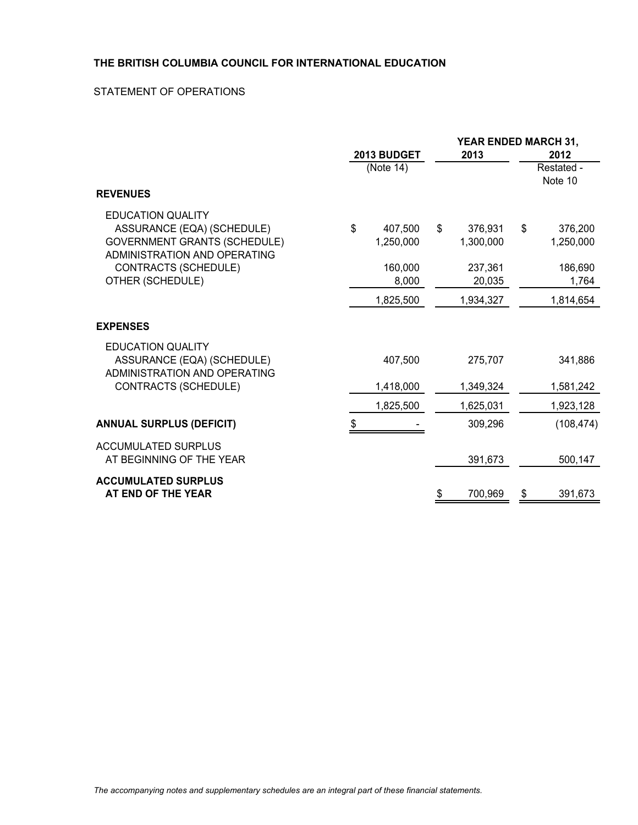### STATEMENT OF OPERATIONS

|                                                                                                                               | <b>2013 BUDGET</b>         | 2013                       | YEAR ENDED MARCH 31,<br>2012 |                       |  |
|-------------------------------------------------------------------------------------------------------------------------------|----------------------------|----------------------------|------------------------------|-----------------------|--|
|                                                                                                                               | (Note 14)                  |                            |                              | Restated -<br>Note 10 |  |
| <b>REVENUES</b>                                                                                                               |                            |                            |                              |                       |  |
| <b>EDUCATION QUALITY</b><br>ASSURANCE (EQA) (SCHEDULE)<br><b>GOVERNMENT GRANTS (SCHEDULE)</b><br>ADMINISTRATION AND OPERATING | \$<br>407,500<br>1,250,000 | \$<br>376,931<br>1,300,000 | \$                           | 376,200<br>1,250,000  |  |
| <b>CONTRACTS (SCHEDULE)</b><br>OTHER (SCHEDULE)                                                                               | 160,000<br>8,000           | 237,361<br>20,035          |                              | 186,690<br>1,764      |  |
|                                                                                                                               | 1,825,500                  | 1,934,327                  |                              | 1,814,654             |  |
| <b>EXPENSES</b>                                                                                                               |                            |                            |                              |                       |  |
| <b>EDUCATION QUALITY</b><br>ASSURANCE (EQA) (SCHEDULE)<br>ADMINISTRATION AND OPERATING                                        | 407,500                    | 275,707                    |                              | 341,886               |  |
| CONTRACTS (SCHEDULE)                                                                                                          | 1,418,000                  | 1,349,324                  |                              | 1,581,242             |  |
|                                                                                                                               | 1,825,500                  | 1,625,031                  |                              | 1,923,128             |  |
| <b>ANNUAL SURPLUS (DEFICIT)</b>                                                                                               | \$                         | 309,296                    |                              | (108, 474)            |  |
| <b>ACCUMULATED SURPLUS</b><br>AT BEGINNING OF THE YEAR                                                                        |                            | 391,673                    |                              | 500,147               |  |
| <b>ACCUMULATED SURPLUS</b><br>AT END OF THE YEAR                                                                              |                            | \$<br>700,969              | \$                           | 391,673               |  |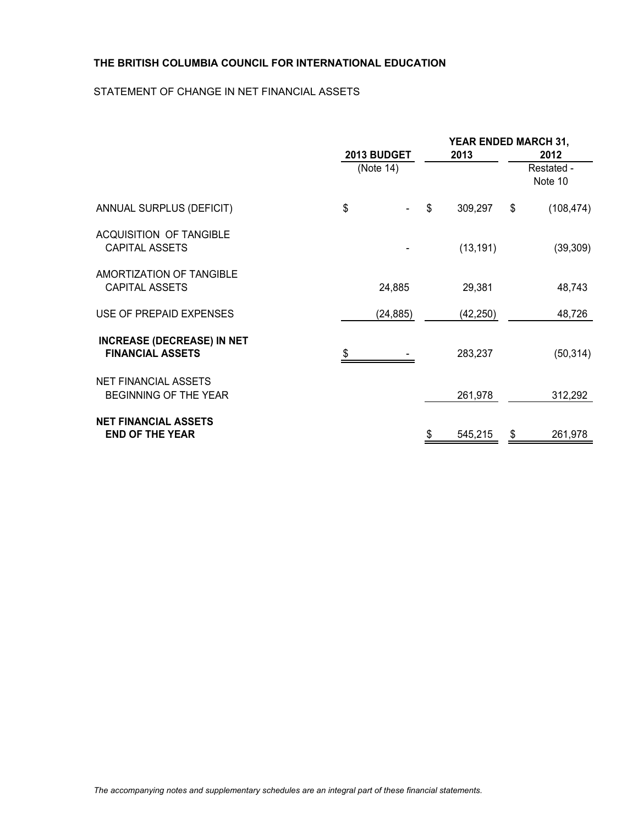## STATEMENT OF CHANGE IN NET FINANCIAL ASSETS

|                                                              | 2013 BUDGET | 2013 |           |    | YEAR ENDED MARCH 31,<br>2012 |  |  |  |
|--------------------------------------------------------------|-------------|------|-----------|----|------------------------------|--|--|--|
|                                                              | (Note 14)   |      |           |    | Restated -<br>Note 10        |  |  |  |
| ANNUAL SURPLUS (DEFICIT)                                     | \$          | \$   | 309,297   | \$ | (108, 474)                   |  |  |  |
| <b>ACQUISITION OF TANGIBLE</b><br><b>CAPITAL ASSETS</b>      |             |      | (13, 191) |    | (39, 309)                    |  |  |  |
| AMORTIZATION OF TANGIBLE<br><b>CAPITAL ASSETS</b>            | 24,885      |      | 29,381    |    | 48,743                       |  |  |  |
| USE OF PREPAID EXPENSES                                      | (24, 885)   |      | (42, 250) |    | 48,726                       |  |  |  |
| <b>INCREASE (DECREASE) IN NET</b><br><b>FINANCIAL ASSETS</b> |             |      | 283,237   |    | (50, 314)                    |  |  |  |
| <b>NET FINANCIAL ASSETS</b><br>BEGINNING OF THE YEAR         |             |      | 261,978   |    | 312,292                      |  |  |  |
| <b>NET FINANCIAL ASSETS</b><br><b>END OF THE YEAR</b>        |             | \$   | 545,215   | \$ | 261,978                      |  |  |  |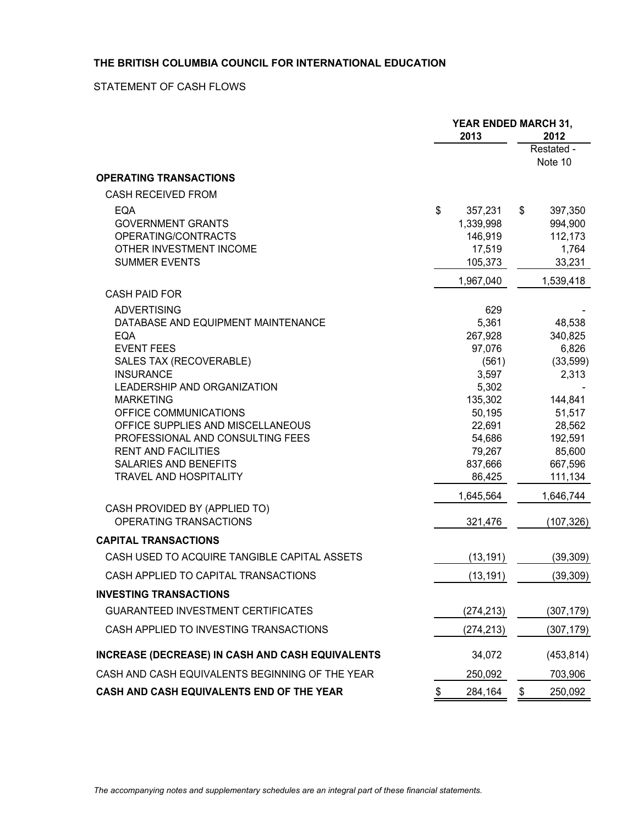## STATEMENT OF CASH FLOWS

|                                                            | <b>YEAR ENDED MARCH 31,</b><br>2013<br>2012 |               |                   |
|------------------------------------------------------------|---------------------------------------------|---------------|-------------------|
|                                                            |                                             |               | Restated -        |
|                                                            |                                             |               | Note 10           |
| <b>OPERATING TRANSACTIONS</b>                              |                                             |               |                   |
| CASH RECEIVED FROM                                         |                                             |               |                   |
| EQA                                                        | \$<br>357,231                               | \$            | 397,350           |
| <b>GOVERNMENT GRANTS</b>                                   | 1,339,998                                   |               | 994,900           |
| OPERATING/CONTRACTS                                        | 146,919                                     |               | 112,173           |
| OTHER INVESTMENT INCOME                                    | 17,519                                      |               | 1,764             |
| <b>SUMMER EVENTS</b>                                       | 105,373                                     |               | 33,231            |
| <b>CASH PAID FOR</b>                                       | 1,967,040                                   |               | 1,539,418         |
|                                                            |                                             |               |                   |
| <b>ADVERTISING</b><br>DATABASE AND EQUIPMENT MAINTENANCE   | 629<br>5,361                                |               | 48,538            |
| <b>EQA</b>                                                 | 267,928                                     |               | 340,825           |
| <b>EVENT FEES</b>                                          | 97,076                                      |               | 6,826             |
| SALES TAX (RECOVERABLE)                                    | (561)                                       |               | (33, 599)         |
| <b>INSURANCE</b>                                           | 3,597                                       |               | 2,313             |
| <b>LEADERSHIP AND ORGANIZATION</b>                         | 5,302                                       |               |                   |
| <b>MARKETING</b>                                           | 135,302                                     |               | 144,841           |
| OFFICE COMMUNICATIONS                                      | 50,195                                      |               | 51,517            |
| OFFICE SUPPLIES AND MISCELLANEOUS                          | 22,691                                      |               | 28,562            |
| PROFESSIONAL AND CONSULTING FEES                           | 54,686                                      |               | 192,591           |
| <b>RENT AND FACILITIES</b><br><b>SALARIES AND BENEFITS</b> | 79,267<br>837,666                           |               | 85,600<br>667,596 |
| <b>TRAVEL AND HOSPITALITY</b>                              | 86,425                                      |               | 111,134           |
|                                                            | 1,645,564                                   |               | 1,646,744         |
| CASH PROVIDED BY (APPLIED TO)                              |                                             |               |                   |
| OPERATING TRANSACTIONS                                     | 321,476                                     |               | (107, 326)        |
| <b>CAPITAL TRANSACTIONS</b>                                |                                             |               |                   |
| CASH USED TO ACQUIRE TANGIBLE CAPITAL ASSETS               | (13, 191)                                   |               | (39, 309)         |
| CASH APPLIED TO CAPITAL TRANSACTIONS                       | (13, 191)                                   |               | (39, 309)         |
| <b>INVESTING TRANSACTIONS</b>                              |                                             |               |                   |
| <b>GUARANTEED INVESTMENT CERTIFICATES</b>                  | (274, 213)                                  |               | (307, 179)        |
| CASH APPLIED TO INVESTING TRANSACTIONS                     | (274, 213)                                  |               | (307, 179)        |
| INCREASE (DECREASE) IN CASH AND CASH EQUIVALENTS           | 34,072                                      |               | (453, 814)        |
| CASH AND CASH EQUIVALENTS BEGINNING OF THE YEAR            | 250,092                                     |               | 703,906           |
| CASH AND CASH EQUIVALENTS END OF THE YEAR                  | \$<br>284,164                               | $\frac{1}{2}$ | 250,092           |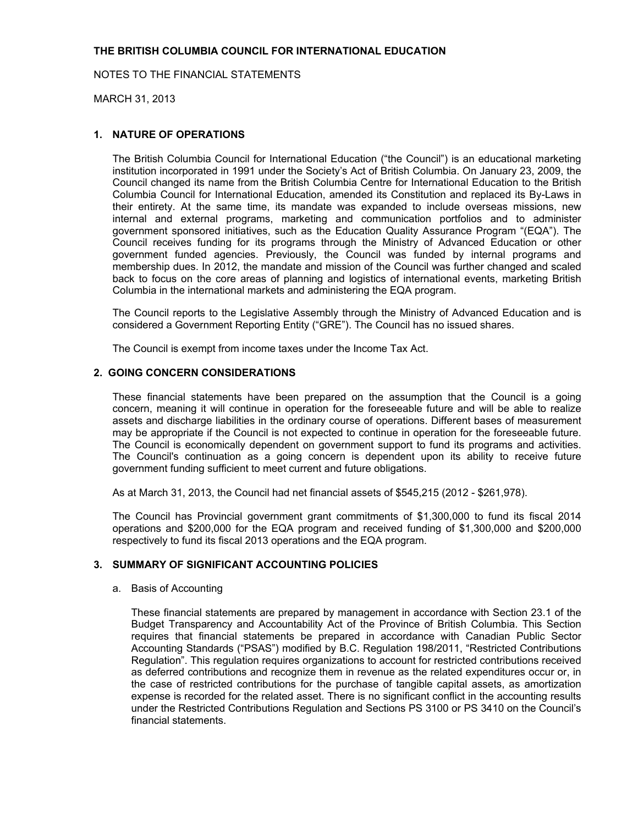MARCH 31, 2013

#### **1. NATURE OF OPERATIONS**

The British Columbia Council for International Education ("the Council") is an educational marketing institution incorporated in 1991 under the Society's Act of British Columbia. On January 23, 2009, the Council changed its name from the British Columbia Centre for International Education to the British Columbia Council for International Education, amended its Constitution and replaced its By-Laws in their entirety. At the same time, its mandate was expanded to include overseas missions, new internal and external programs, marketing and communication portfolios and to administer government sponsored initiatives, such as the Education Quality Assurance Program "(EQA"). The Council receives funding for its programs through the Ministry of Advanced Education or other government funded agencies. Previously, the Council was funded by internal programs and membership dues. In 2012, the mandate and mission of the Council was further changed and scaled back to focus on the core areas of planning and logistics of international events, marketing British Columbia in the international markets and administering the EQA program.

The Council reports to the Legislative Assembly through the Ministry of Advanced Education and is considered a Government Reporting Entity ("GRE"). The Council has no issued shares.

The Council is exempt from income taxes under the Income Tax Act.

#### **2. GOING CONCERN CONSIDERATIONS**

These financial statements have been prepared on the assumption that the Council is a going concern, meaning it will continue in operation for the foreseeable future and will be able to realize assets and discharge liabilities in the ordinary course of operations. Different bases of measurement may be appropriate if the Council is not expected to continue in operation for the foreseeable future. The Council is economically dependent on government support to fund its programs and activities. The Council's continuation as a going concern is dependent upon its ability to receive future government funding sufficient to meet current and future obligations.

As at March 31, 2013, the Council had net financial assets of \$545,215 (2012 - \$261,978).

The Council has Provincial government grant commitments of \$1,300,000 to fund its fiscal 2014 operations and \$200,000 for the EQA program and received funding of \$1,300,000 and \$200,000 respectively to fund its fiscal 2013 operations and the EQA program.

## **3. SUMMARY OF SIGNIFICANT ACCOUNTING POLICIES**

#### a. Basis of Accounting

These financial statements are prepared by management in accordance with Section 23.1 of the Budget Transparency and Accountability Act of the Province of British Columbia. This Section requires that financial statements be prepared in accordance with Canadian Public Sector Accounting Standards ("PSAS") modified by B.C. Regulation 198/2011, "Restricted Contributions Regulation". This regulation requires organizations to account for restricted contributions received as deferred contributions and recognize them in revenue as the related expenditures occur or, in the case of restricted contributions for the purchase of tangible capital assets, as amortization expense is recorded for the related asset. There is no significant conflict in the accounting results under the Restricted Contributions Regulation and Sections PS 3100 or PS 3410 on the Council's financial statements.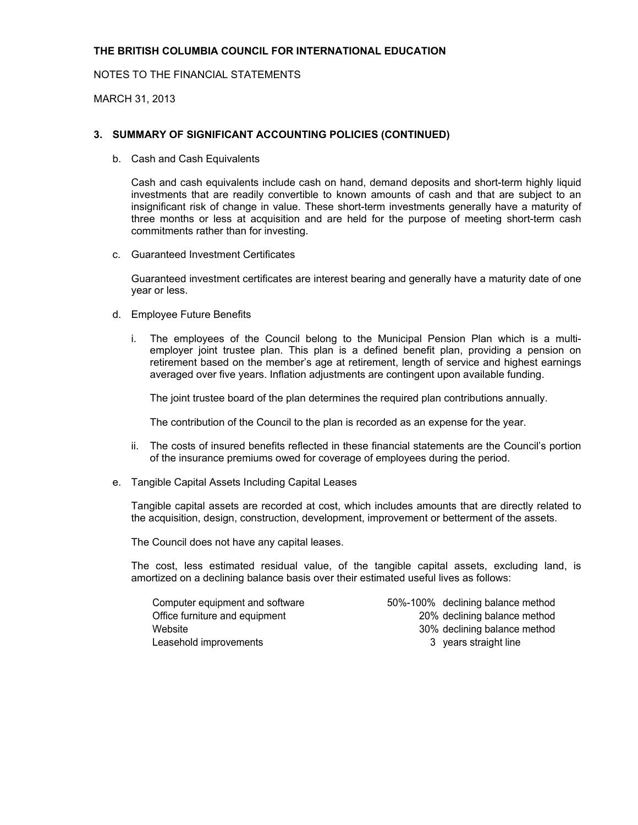NOTES TO THE FINANCIAL STATEMENTS

MARCH 31, 2013

#### **3. SUMMARY OF SIGNIFICANT ACCOUNTING POLICIES (CONTINUED)**

b. Cash and Cash Equivalents

Cash and cash equivalents include cash on hand, demand deposits and short-term highly liquid investments that are readily convertible to known amounts of cash and that are subject to an insignificant risk of change in value. These short-term investments generally have a maturity of three months or less at acquisition and are held for the purpose of meeting short-term cash commitments rather than for investing.

c. Guaranteed Investment Certificates

Guaranteed investment certificates are interest bearing and generally have a maturity date of one year or less.

- d. Employee Future Benefits
	- i. The employees of the Council belong to the Municipal Pension Plan which is a multiemployer joint trustee plan. This plan is a defined benefit plan, providing a pension on retirement based on the member's age at retirement, length of service and highest earnings averaged over five years. Inflation adjustments are contingent upon available funding.

The joint trustee board of the plan determines the required plan contributions annually.

The contribution of the Council to the plan is recorded as an expense for the year.

- ii. The costs of insured benefits reflected in these financial statements are the Council's portion of the insurance premiums owed for coverage of employees during the period.
- e. Tangible Capital Assets Including Capital Leases

Tangible capital assets are recorded at cost, which includes amounts that are directly related to the acquisition, design, construction, development, improvement or betterment of the assets.

The Council does not have any capital leases.

The cost, less estimated residual value, of the tangible capital assets, excluding land, is amortized on a declining balance basis over their estimated useful lives as follows:

Leasehold improvements and the straight line straight line

Computer equipment and software 50%-100% declining balance method Office furniture and equipment 20% declining balance method Website 30% declining balance method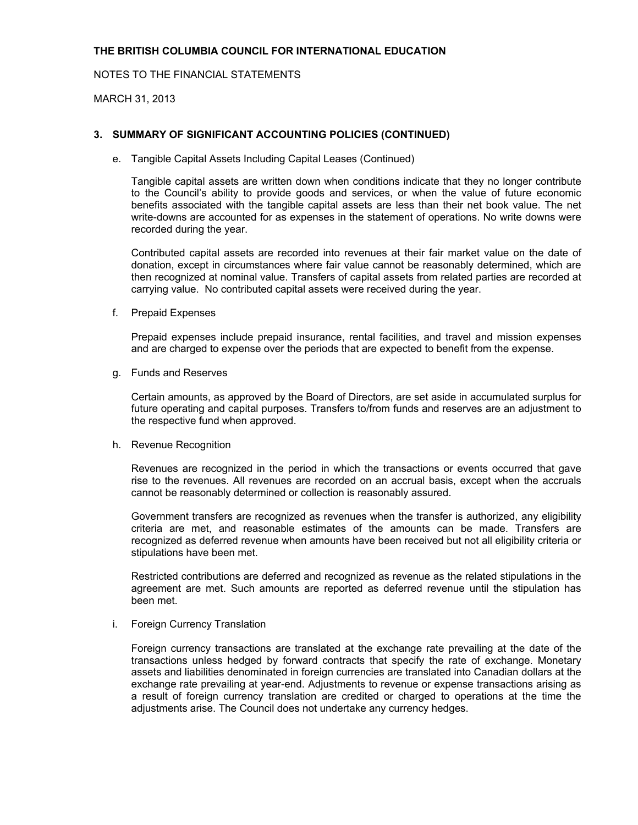NOTES TO THE FINANCIAL STATEMENTS

MARCH 31, 2013

#### **3. SUMMARY OF SIGNIFICANT ACCOUNTING POLICIES (CONTINUED)**

e. Tangible Capital Assets Including Capital Leases (Continued)

Tangible capital assets are written down when conditions indicate that they no longer contribute to the Council's ability to provide goods and services, or when the value of future economic benefits associated with the tangible capital assets are less than their net book value. The net write-downs are accounted for as expenses in the statement of operations. No write downs were recorded during the year.

Contributed capital assets are recorded into revenues at their fair market value on the date of donation, except in circumstances where fair value cannot be reasonably determined, which are then recognized at nominal value. Transfers of capital assets from related parties are recorded at carrying value. No contributed capital assets were received during the year.

f. Prepaid Expenses

Prepaid expenses include prepaid insurance, rental facilities, and travel and mission expenses and are charged to expense over the periods that are expected to benefit from the expense.

g. Funds and Reserves

Certain amounts, as approved by the Board of Directors, are set aside in accumulated surplus for future operating and capital purposes. Transfers to/from funds and reserves are an adjustment to the respective fund when approved.

h. Revenue Recognition

Revenues are recognized in the period in which the transactions or events occurred that gave rise to the revenues. All revenues are recorded on an accrual basis, except when the accruals cannot be reasonably determined or collection is reasonably assured.

Government transfers are recognized as revenues when the transfer is authorized, any eligibility criteria are met, and reasonable estimates of the amounts can be made. Transfers are recognized as deferred revenue when amounts have been received but not all eligibility criteria or stipulations have been met.

Restricted contributions are deferred and recognized as revenue as the related stipulations in the agreement are met. Such amounts are reported as deferred revenue until the stipulation has been met.

#### i. Foreign Currency Translation

Foreign currency transactions are translated at the exchange rate prevailing at the date of the transactions unless hedged by forward contracts that specify the rate of exchange. Monetary assets and liabilities denominated in foreign currencies are translated into Canadian dollars at the exchange rate prevailing at year-end. Adjustments to revenue or expense transactions arising as a result of foreign currency translation are credited or charged to operations at the time the adjustments arise. The Council does not undertake any currency hedges.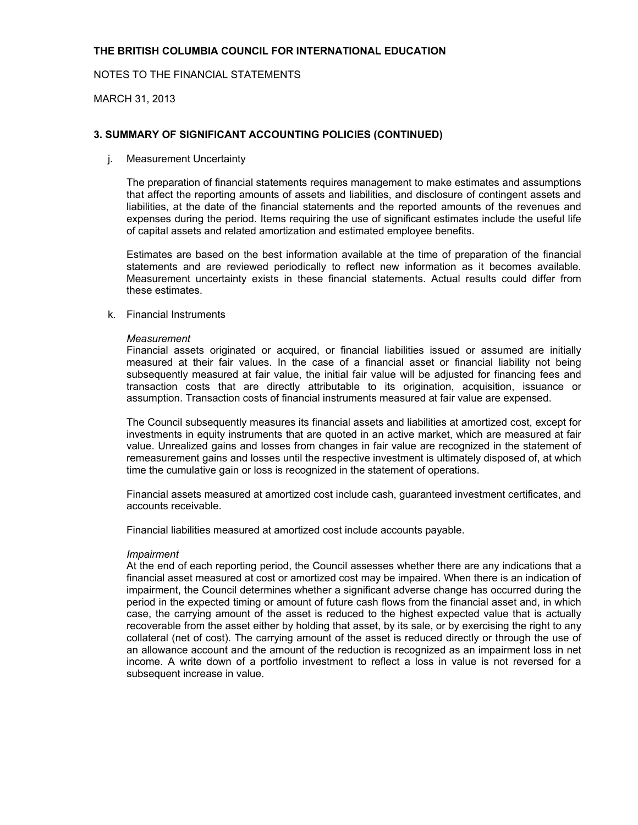## NOTES TO THE FINANCIAL STATEMENTS

MARCH 31, 2013

### **3. SUMMARY OF SIGNIFICANT ACCOUNTING POLICIES (CONTINUED)**

j. Measurement Uncertainty

The preparation of financial statements requires management to make estimates and assumptions that affect the reporting amounts of assets and liabilities, and disclosure of contingent assets and liabilities, at the date of the financial statements and the reported amounts of the revenues and expenses during the period. Items requiring the use of significant estimates include the useful life of capital assets and related amortization and estimated employee benefits.

Estimates are based on the best information available at the time of preparation of the financial statements and are reviewed periodically to reflect new information as it becomes available. Measurement uncertainty exists in these financial statements. Actual results could differ from these estimates.

k. Financial Instruments

#### *Measurement*

Financial assets originated or acquired, or financial liabilities issued or assumed are initially measured at their fair values. In the case of a financial asset or financial liability not being subsequently measured at fair value, the initial fair value will be adjusted for financing fees and transaction costs that are directly attributable to its origination, acquisition, issuance or assumption. Transaction costs of financial instruments measured at fair value are expensed.

The Council subsequently measures its financial assets and liabilities at amortized cost, except for investments in equity instruments that are quoted in an active market, which are measured at fair value. Unrealized gains and losses from changes in fair value are recognized in the statement of remeasurement gains and losses until the respective investment is ultimately disposed of, at which time the cumulative gain or loss is recognized in the statement of operations.

Financial assets measured at amortized cost include cash, guaranteed investment certificates, and accounts receivable.

Financial liabilities measured at amortized cost include accounts payable.

#### *Impairment*

At the end of each reporting period, the Council assesses whether there are any indications that a financial asset measured at cost or amortized cost may be impaired. When there is an indication of impairment, the Council determines whether a significant adverse change has occurred during the period in the expected timing or amount of future cash flows from the financial asset and, in which case, the carrying amount of the asset is reduced to the highest expected value that is actually recoverable from the asset either by holding that asset, by its sale, or by exercising the right to any collateral (net of cost). The carrying amount of the asset is reduced directly or through the use of an allowance account and the amount of the reduction is recognized as an impairment loss in net income. A write down of a portfolio investment to reflect a loss in value is not reversed for a subsequent increase in value.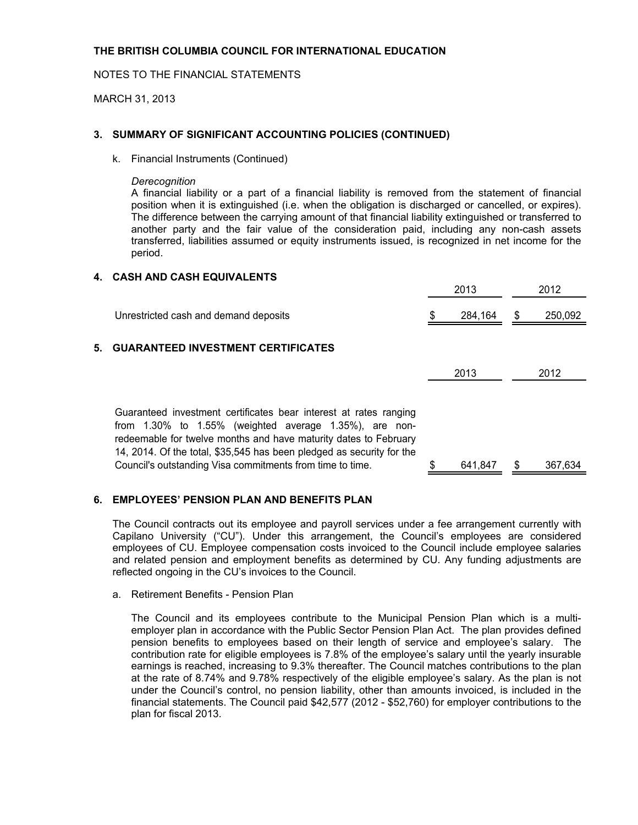MARCH 31, 2013

#### **3. SUMMARY OF SIGNIFICANT ACCOUNTING POLICIES (CONTINUED)**

k. Financial Instruments (Continued)

#### *Derecognition*

A financial liability or a part of a financial liability is removed from the statement of financial position when it is extinguished (i.e. when the obligation is discharged or cancelled, or expires). The difference between the carrying amount of that financial liability extinguished or transferred to another party and the fair value of the consideration paid, including any non-cash assets transferred, liabilities assumed or equity instruments issued, is recognized in net income for the period.

#### **4. CASH AND CASH EQUIVALENTS**

|    |                                                                                                                                                                                                                                                                                                                                                 |   | 2013    | 2012          |
|----|-------------------------------------------------------------------------------------------------------------------------------------------------------------------------------------------------------------------------------------------------------------------------------------------------------------------------------------------------|---|---------|---------------|
|    | Unrestricted cash and demand deposits                                                                                                                                                                                                                                                                                                           | S | 284,164 | \$<br>250,092 |
| 5. | <b>GUARANTEED INVESTMENT CERTIFICATES</b>                                                                                                                                                                                                                                                                                                       |   |         |               |
|    |                                                                                                                                                                                                                                                                                                                                                 |   | 2013    | 2012          |
|    | Guaranteed investment certificates bear interest at rates ranging<br>from $1.30\%$ to $1.55\%$ (weighted average $1.35\%$ ), are non-<br>redeemable for twelve months and have maturity dates to February<br>14, 2014. Of the total, \$35,545 has been pledged as security for the<br>Council's outstanding Visa commitments from time to time. |   | 641.847 | \$<br>367,634 |

#### **6. EMPLOYEES' PENSION PLAN AND BENEFITS PLAN**

The Council contracts out its employee and payroll services under a fee arrangement currently with Capilano University ("CU"). Under this arrangement, the Council's employees are considered employees of CU. Employee compensation costs invoiced to the Council include employee salaries and related pension and employment benefits as determined by CU. Any funding adjustments are reflected ongoing in the CU's invoices to the Council.

a. Retirement Benefits - Pension Plan

The Council and its employees contribute to the Municipal Pension Plan which is a multiemployer plan in accordance with the Public Sector Pension Plan Act. The plan provides defined pension benefits to employees based on their length of service and employee's salary. The contribution rate for eligible employees is 7.8% of the employee's salary until the yearly insurable earnings is reached, increasing to 9.3% thereafter. The Council matches contributions to the plan at the rate of 8.74% and 9.78% respectively of the eligible employee's salary. As the plan is not under the Council's control, no pension liability, other than amounts invoiced, is included in the financial statements. The Council paid \$42,577 (2012 - \$52,760) for employer contributions to the plan for fiscal 2013.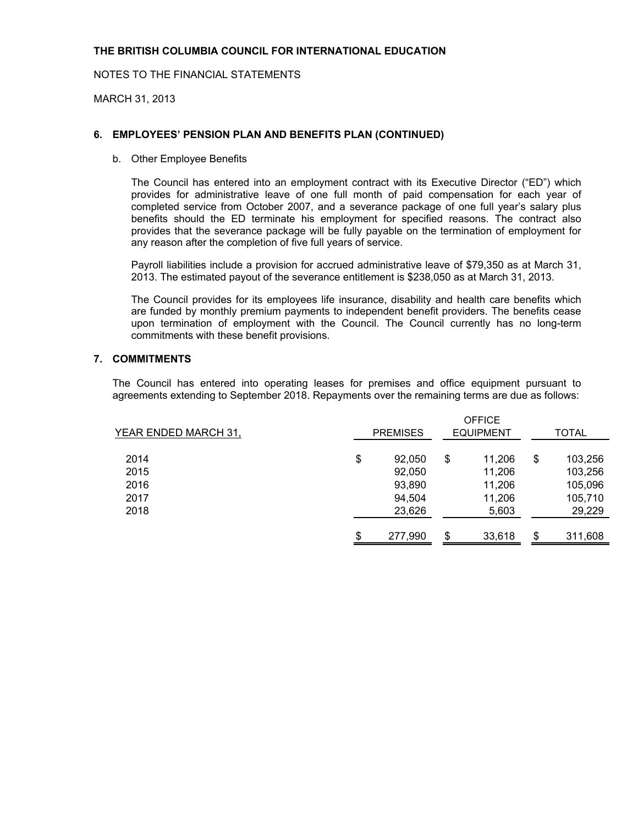NOTES TO THE FINANCIAL STATEMENTS

MARCH 31, 2013

### **6. EMPLOYEES' PENSION PLAN AND BENEFITS PLAN (CONTINUED)**

b. Other Employee Benefits

The Council has entered into an employment contract with its Executive Director ("ED") which provides for administrative leave of one full month of paid compensation for each year of completed service from October 2007, and a severance package of one full year's salary plus benefits should the ED terminate his employment for specified reasons. The contract also provides that the severance package will be fully payable on the termination of employment for any reason after the completion of five full years of service.

Payroll liabilities include a provision for accrued administrative leave of \$79,350 as at March 31, 2013. The estimated payout of the severance entitlement is \$238,050 as at March 31, 2013.

The Council provides for its employees life insurance, disability and health care benefits which are funded by monthly premium payments to independent benefit providers. The benefits cease upon termination of employment with the Council. The Council currently has no long-term commitments with these benefit provisions.

#### **7. COMMITMENTS**

The Council has entered into operating leases for premises and office equipment pursuant to agreements extending to September 2018. Repayments over the remaining terms are due as follows:

| YEAR ENDED MARCH 31, | <b>PREMISES</b> | <b>OFFICE</b><br><b>EQUIPMENT</b> | <b>TOTAL</b>  |
|----------------------|-----------------|-----------------------------------|---------------|
|                      |                 |                                   |               |
| 2014                 | \$<br>92,050    | \$<br>11,206                      | \$<br>103,256 |
| 2015                 | 92,050          | 11,206                            | 103,256       |
| 2016                 | 93,890          | 11,206                            | 105,096       |
| 2017                 | 94,504          | 11,206                            | 105,710       |
| 2018                 | 23,626          | 5,603                             | 29,229        |
|                      | \$<br>277,990   | \$<br>33,618                      | \$<br>311,608 |
|                      |                 |                                   |               |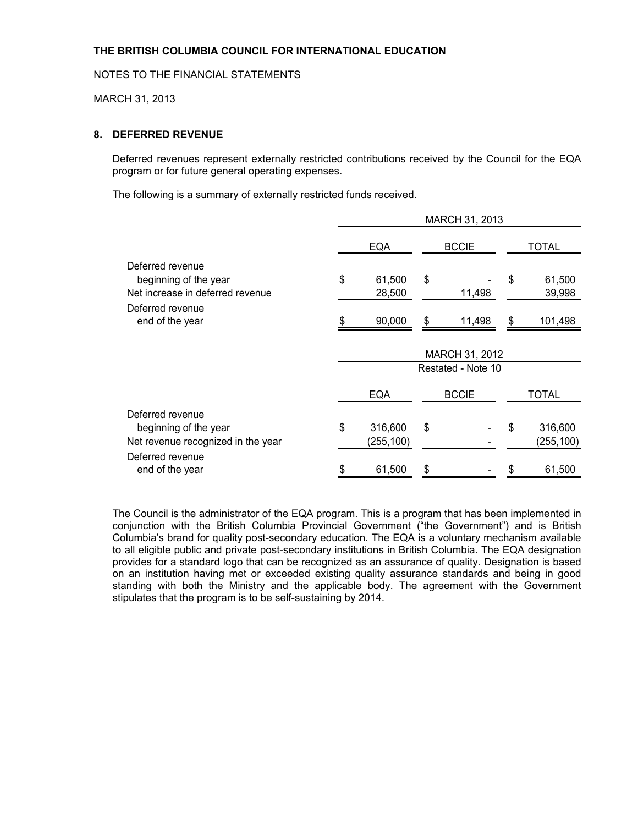MARCH 31, 2013

### **8. DEFERRED REVENUE**

Deferred revenues represent externally restricted contributions received by the Council for the EQA program or for future general operating expenses.

The following is a summary of externally restricted funds received.

|                                     | MARCH 31, 2013 |            |    |                    |       |            |  |
|-------------------------------------|----------------|------------|----|--------------------|-------|------------|--|
|                                     |                | <b>EQA</b> |    | <b>BCCIE</b>       | TOTAL |            |  |
| Deferred revenue                    |                |            |    |                    |       |            |  |
| beginning of the year               | \$             | 61,500     | \$ |                    | \$    | 61,500     |  |
| Net increase in deferred revenue    |                | 28,500     |    | 11,498             |       | 39,998     |  |
| Deferred revenue<br>end of the year |                | 90,000     | \$ | 11,498             | \$    | 101,498    |  |
|                                     |                |            |    |                    |       |            |  |
|                                     | MARCH 31, 2012 |            |    |                    |       |            |  |
|                                     |                |            |    | Restated - Note 10 |       |            |  |
|                                     |                | <b>EQA</b> |    | <b>BCCIE</b>       |       | TOTAL      |  |
| Deferred revenue                    |                |            |    |                    |       |            |  |
| beginning of the year               | \$             | 316,600    | \$ |                    | \$    | 316,600    |  |
| Net revenue recognized in the year  |                | (255, 100) |    |                    |       | (255, 100) |  |
|                                     |                |            |    |                    |       |            |  |
| Deferred revenue<br>end of the year |                | 61,500     | \$ |                    |       | 61,500     |  |

The Council is the administrator of the EQA program. This is a program that has been implemented in conjunction with the British Columbia Provincial Government ("the Government") and is British Columbia's brand for quality post-secondary education. The EQA is a voluntary mechanism available to all eligible public and private post-secondary institutions in British Columbia. The EQA designation provides for a standard logo that can be recognized as an assurance of quality. Designation is based on an institution having met or exceeded existing quality assurance standards and being in good standing with both the Ministry and the applicable body. The agreement with the Government stipulates that the program is to be self-sustaining by 2014.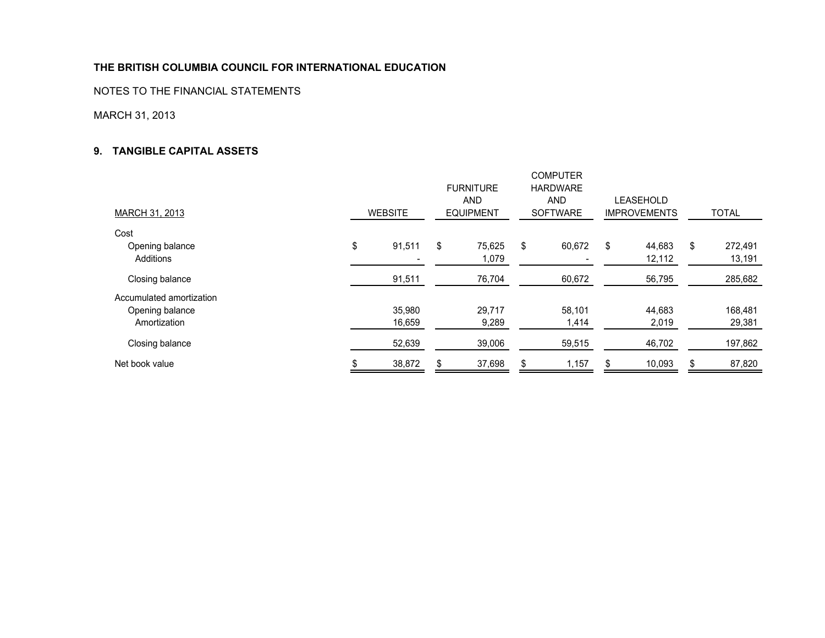NOTES TO THE FINANCIAL STATEMENTS

MARCH 31, 2013

#### **9. TANGIBLE CAPITAL ASSETS**

| <b>MARCH 31, 2013</b>    | <b>WEBSITE</b> | <b>FURNITURE</b><br><b>AND</b><br><b>EQUIPMENT</b> | <b>COMPUTER</b><br><b>HARDWARE</b><br><b>AND</b><br><b>SOFTWARE</b> | LEASEHOLD<br><b>IMPROVEMENTS</b> | <b>TOTAL</b>  |
|--------------------------|----------------|----------------------------------------------------|---------------------------------------------------------------------|----------------------------------|---------------|
| Cost                     |                |                                                    |                                                                     |                                  |               |
| Opening balance          | \$<br>91,511   | \$<br>75,625                                       | \$<br>60,672                                                        | \$<br>44,683                     | \$<br>272,491 |
| Additions                |                | 1,079                                              |                                                                     | 12,112                           | 13,191        |
| Closing balance          | 91,511         | 76,704                                             | 60,672                                                              | 56,795                           | 285,682       |
| Accumulated amortization |                |                                                    |                                                                     |                                  |               |
| Opening balance          | 35,980         | 29,717                                             | 58,101                                                              | 44,683                           | 168,481       |
| Amortization             | 16,659         | 9,289                                              | .414                                                                | 2,019                            | 29,381        |
| Closing balance          | 52,639         | 39,006                                             | 59,515                                                              | 46,702                           | 197,862       |
| Net book value           | 38,872         | 37,698                                             | 1,157                                                               | 10,093                           | 87,820        |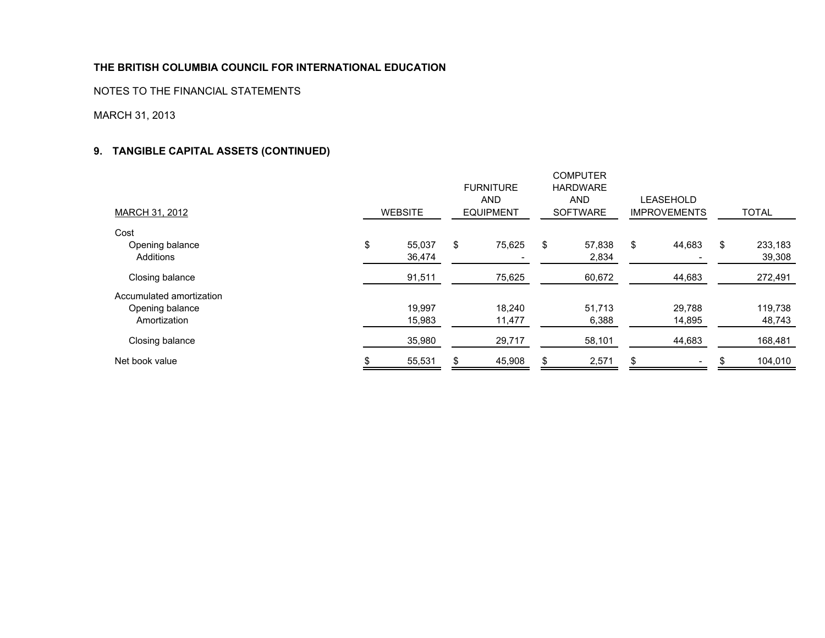NOTES TO THE FINANCIAL STATEMENTS

## MARCH 31, 2013

## **9. TANGIBLE CAPITAL ASSETS (CONTINUED)**

| MARCH 31, 2012                                              | <b>WEBSITE</b>         | <b>FURNITURE</b><br><b>AND</b><br><b>EQUIPMENT</b> | <b>COMPUTER</b><br><b>HARDWARE</b><br><b>AND</b><br><b>SOFTWARE</b> | LEASEHOLD<br><b>IMPROVEMENTS</b> | <b>TOTAL</b>            |
|-------------------------------------------------------------|------------------------|----------------------------------------------------|---------------------------------------------------------------------|----------------------------------|-------------------------|
| Cost                                                        |                        |                                                    |                                                                     |                                  |                         |
| Opening balance<br>Additions                                | \$<br>55,037<br>36,474 | \$<br>75,625                                       | \$<br>57,838<br>2,834                                               | \$<br>44,683                     | \$<br>233,183<br>39,308 |
| Closing balance                                             | 91,511                 | 75,625                                             | 60,672                                                              | 44,683                           | 272,491                 |
| Accumulated amortization<br>Opening balance<br>Amortization | 19,997<br>15,983       | 18.240<br>11,477                                   | 51,713<br>6,388                                                     | 29,788<br>14,895                 | 119,738<br>48,743       |
| Closing balance                                             | 35,980                 | 29,717                                             | 58,101                                                              | 44,683                           | 168,481                 |
| Net book value                                              | 55,531                 | 45,908                                             | 2,571                                                               |                                  | 104,010                 |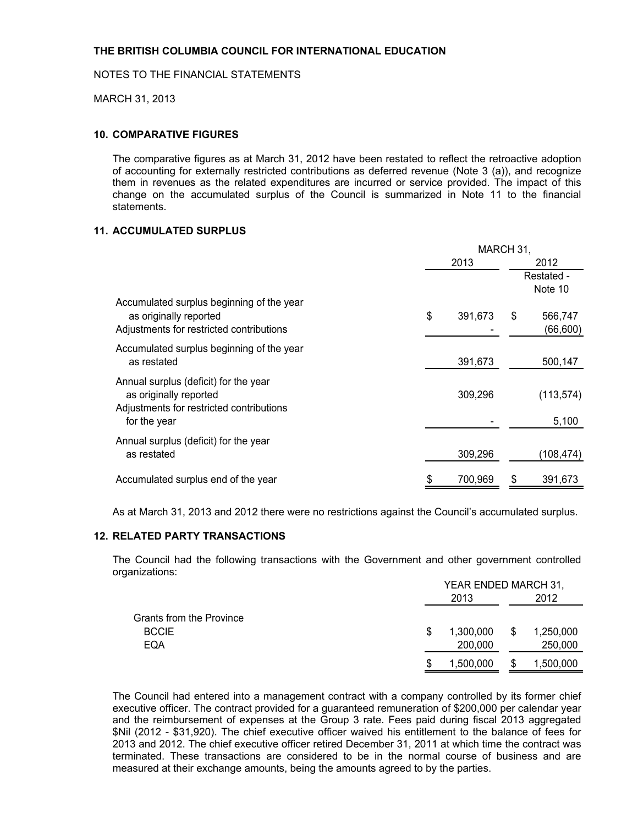MARCH 31, 2013

#### **10. COMPARATIVE FIGURES**

The comparative figures as at March 31, 2012 have been restated to reflect the retroactive adoption of accounting for externally restricted contributions as deferred revenue (Note 3 (a)), and recognize them in revenues as the related expenditures are incurred or service provided. The impact of this change on the accumulated surplus of the Council is summarized in Note 11 to the financial statements.

## **11. ACCUMULATED SURPLUS**

|                                                                                                                             |      | MARCH 31, |    |                       |
|-----------------------------------------------------------------------------------------------------------------------------|------|-----------|----|-----------------------|
|                                                                                                                             | 2013 |           |    | 2012                  |
|                                                                                                                             |      |           |    | Restated -<br>Note 10 |
| Accumulated surplus beginning of the year<br>as originally reported<br>Adjustments for restricted contributions             | \$   | 391,673   | \$ | 566,747<br>(66, 600)  |
| Accumulated surplus beginning of the year<br>as restated                                                                    |      | 391,673   |    | 500,147               |
| Annual surplus (deficit) for the year<br>as originally reported<br>Adjustments for restricted contributions<br>for the year |      | 309,296   |    | (113, 574)<br>5,100   |
| Annual surplus (deficit) for the year<br>as restated                                                                        |      | 309,296   |    | (108, 474)            |
| Accumulated surplus end of the year                                                                                         |      | 700,969   |    | 391,673               |

As at March 31, 2013 and 2012 there were no restrictions against the Council's accumulated surplus.

#### **12. RELATED PARTY TRANSACTIONS**

The Council had the following transactions with the Government and other government controlled organizations:

|                          | YEAR ENDED MARCH 31, |    |           |  |
|--------------------------|----------------------|----|-----------|--|
|                          | 2013                 |    | 2012      |  |
| Grants from the Province |                      |    |           |  |
| <b>BCCIE</b>             | \$<br>1,300,000      | \$ | 1,250,000 |  |
| EQA                      | 200,000              |    | 250,000   |  |
|                          | 1,500,000            |    | 1,500,000 |  |

The Council had entered into a management contract with a company controlled by its former chief executive officer. The contract provided for a guaranteed remuneration of \$200,000 per calendar year and the reimbursement of expenses at the Group 3 rate. Fees paid during fiscal 2013 aggregated \$Nil (2012 - \$31,920). The chief executive officer waived his entitlement to the balance of fees for 2013 and 2012. The chief executive officer retired December 31, 2011 at which time the contract was terminated. These transactions are considered to be in the normal course of business and are measured at their exchange amounts, being the amounts agreed to by the parties.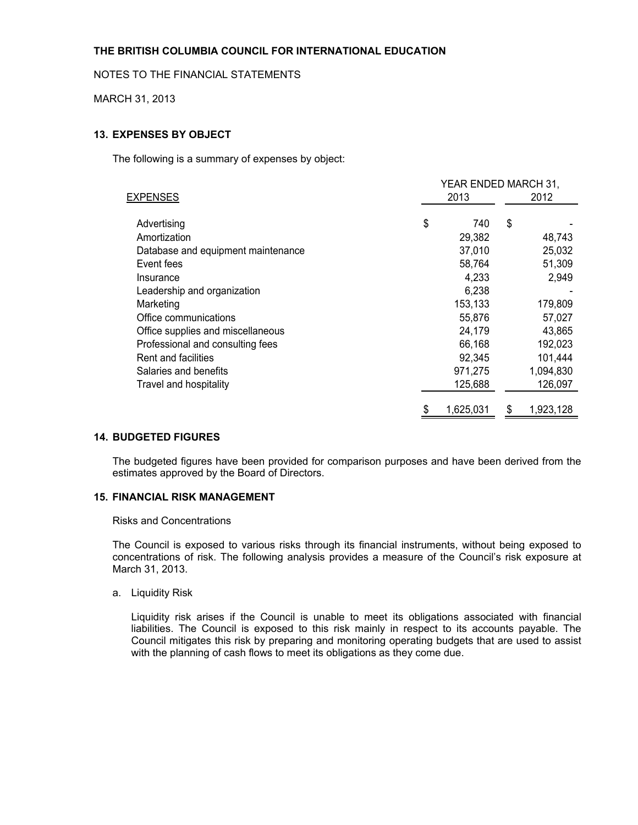#### NOTES TO THE FINANCIAL STATEMENTS

MARCH 31, 2013

## **13. EXPENSES BY OBJECT**

The following is a summary of expenses by object:

|                                    | YEAR ENDED MARCH 31, |           |    |           |  |  |  |  |
|------------------------------------|----------------------|-----------|----|-----------|--|--|--|--|
| <b>EXPENSES</b>                    |                      | 2013      |    | 2012      |  |  |  |  |
| Advertising                        | \$                   | 740       | \$ |           |  |  |  |  |
| Amortization                       |                      | 29,382    |    | 48,743    |  |  |  |  |
| Database and equipment maintenance |                      | 37,010    |    | 25,032    |  |  |  |  |
| Event fees                         |                      | 58,764    |    | 51,309    |  |  |  |  |
| Insurance                          |                      | 4,233     |    | 2,949     |  |  |  |  |
| Leadership and organization        |                      | 6,238     |    |           |  |  |  |  |
| Marketing                          |                      | 153,133   |    | 179,809   |  |  |  |  |
| Office communications              |                      | 55,876    |    | 57,027    |  |  |  |  |
| Office supplies and miscellaneous  |                      | 24,179    |    | 43,865    |  |  |  |  |
| Professional and consulting fees   |                      | 66,168    |    | 192,023   |  |  |  |  |
| Rent and facilities                |                      | 92,345    |    | 101,444   |  |  |  |  |
| Salaries and benefits              |                      | 971,275   |    | 1,094,830 |  |  |  |  |
| Travel and hospitality             |                      | 125,688   |    | 126,097   |  |  |  |  |
|                                    | \$                   | 1,625,031 | \$ | 1,923,128 |  |  |  |  |

#### **14. BUDGETED FIGURES**

The budgeted figures have been provided for comparison purposes and have been derived from the estimates approved by the Board of Directors.

#### **15. FINANCIAL RISK MANAGEMENT**

#### Risks and Concentrations

The Council is exposed to various risks through its financial instruments, without being exposed to concentrations of risk. The following analysis provides a measure of the Council's risk exposure at March 31, 2013.

#### a. Liquidity Risk

Liquidity risk arises if the Council is unable to meet its obligations associated with financial liabilities. The Council is exposed to this risk mainly in respect to its accounts payable. The Council mitigates this risk by preparing and monitoring operating budgets that are used to assist with the planning of cash flows to meet its obligations as they come due.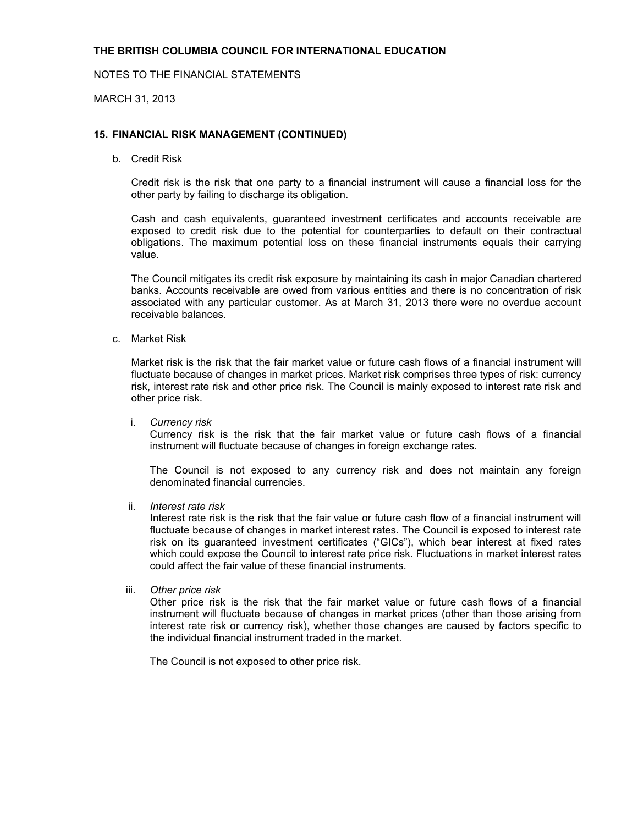#### NOTES TO THE FINANCIAL STATEMENTS

MARCH 31, 2013

#### **15. FINANCIAL RISK MANAGEMENT (CONTINUED)**

b. Credit Risk

Credit risk is the risk that one party to a financial instrument will cause a financial loss for the other party by failing to discharge its obligation.

Cash and cash equivalents, guaranteed investment certificates and accounts receivable are exposed to credit risk due to the potential for counterparties to default on their contractual obligations. The maximum potential loss on these financial instruments equals their carrying value.

The Council mitigates its credit risk exposure by maintaining its cash in major Canadian chartered banks. Accounts receivable are owed from various entities and there is no concentration of risk associated with any particular customer. As at March 31, 2013 there were no overdue account receivable balances.

c. Market Risk

Market risk is the risk that the fair market value or future cash flows of a financial instrument will fluctuate because of changes in market prices. Market risk comprises three types of risk: currency risk, interest rate risk and other price risk. The Council is mainly exposed to interest rate risk and other price risk.

i. *Currency risk* 

Currency risk is the risk that the fair market value or future cash flows of a financial instrument will fluctuate because of changes in foreign exchange rates.

The Council is not exposed to any currency risk and does not maintain any foreign denominated financial currencies.

ii. *Interest rate risk*

Interest rate risk is the risk that the fair value or future cash flow of a financial instrument will fluctuate because of changes in market interest rates. The Council is exposed to interest rate risk on its guaranteed investment certificates ("GICs"), which bear interest at fixed rates which could expose the Council to interest rate price risk. Fluctuations in market interest rates could affect the fair value of these financial instruments.

iii. *Other price risk*

Other price risk is the risk that the fair market value or future cash flows of a financial instrument will fluctuate because of changes in market prices (other than those arising from interest rate risk or currency risk), whether those changes are caused by factors specific to the individual financial instrument traded in the market.

The Council is not exposed to other price risk.